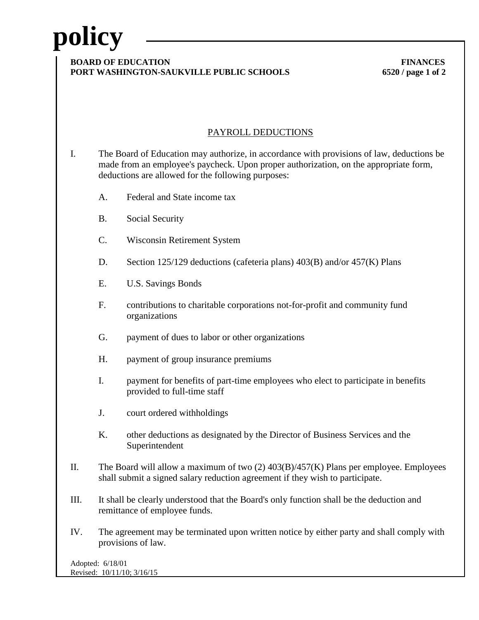# **policy**

### **BOARD OF EDUCATION FINANCES PORT WASHINGTON-SAUKVILLE PUBLIC SCHOOLS 6520 / page 1 of 2**

## PAYROLL DEDUCTIONS

I. The Board of Education may authorize, in accordance with provisions of law, deductions be made from an employee's paycheck. Upon proper authorization, on the appropriate form, deductions are allowed for the following purposes:

- A. Federal and State income tax
- B. Social Security
- C. Wisconsin Retirement System
- D. Section 125/129 deductions (cafeteria plans) 403(B) and/or 457(K) Plans
- E. U.S. Savings Bonds
- F. contributions to charitable corporations not-for-profit and community fund organizations
- G. payment of dues to labor or other organizations
- H. payment of group insurance premiums
- I. payment for benefits of part-time employees who elect to participate in benefits provided to full-time staff
- J. court ordered withholdings
- K. other deductions as designated by the Director of Business Services and the Superintendent
- II. The Board will allow a maximum of two (2) 403(B)/457(K) Plans per employee. Employees shall submit a signed salary reduction agreement if they wish to participate.
- III. It shall be clearly understood that the Board's only function shall be the deduction and remittance of employee funds.
- IV. The agreement may be terminated upon written notice by either party and shall comply with provisions of law.

Adopted: 6/18/01 Revised: 10/11/10; 3/16/15